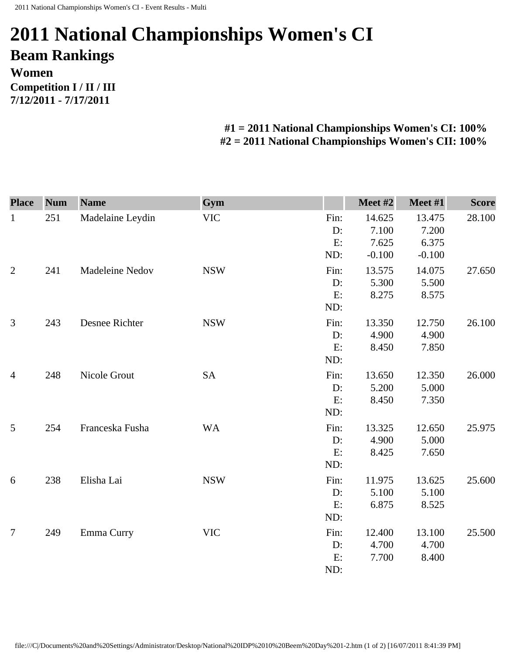## **2011 National Championships Women's CI Beam Rankings Women Competition I / II / III 7/12/2011 - 7/17/2011**

## **#1 = 2011 National Championships Women's CI: 100% #2 = 2011 National Championships Women's CII: 100%**

| <b>Place</b>   | <b>Num</b> | <b>Name</b>      | Gym                       |                         | Meet #2                              | Meet #1                              | <b>Score</b> |
|----------------|------------|------------------|---------------------------|-------------------------|--------------------------------------|--------------------------------------|--------------|
| $\mathbf{1}$   | 251        | Madelaine Leydin | <b>VIC</b>                | Fin:<br>D:<br>E:<br>ND: | 14.625<br>7.100<br>7.625<br>$-0.100$ | 13.475<br>7.200<br>6.375             | 28.100       |
| $\overline{2}$ | 241        | Madeleine Nedov  | <b>NSW</b>                | Fin:<br>D:<br>E:<br>ND: | 13.575<br>5.300<br>8.275             | $-0.100$<br>14.075<br>5.500<br>8.575 | 27.650       |
| 3              | 243        | Desnee Richter   | <b>NSW</b>                | Fin:<br>D:<br>E:<br>ND: | 13.350<br>4.900<br>8.450             | 12.750<br>4.900<br>7.850             | 26.100       |
| $\overline{4}$ | 248        | Nicole Grout     | <b>SA</b>                 | Fin:<br>D:<br>E:<br>ND: | 13.650<br>5.200<br>8.450             | 12.350<br>5.000<br>7.350             | 26.000       |
| 5              | 254        | Franceska Fusha  | <b>WA</b>                 | Fin:<br>D:<br>E:<br>ND: | 13.325<br>4.900<br>8.425             | 12.650<br>5.000<br>7.650             | 25.975       |
| 6              | 238        | Elisha Lai       | <b>NSW</b>                | Fin:<br>D:<br>E:<br>ND: | 11.975<br>5.100<br>6.875             | 13.625<br>5.100<br>8.525             | 25.600       |
| $\overline{7}$ | 249        | Emma Curry       | $\ensuremath{\text{VIC}}$ | Fin:<br>D:<br>E:<br>ND: | 12.400<br>4.700<br>7.700             | 13.100<br>4.700<br>8.400             | 25.500       |